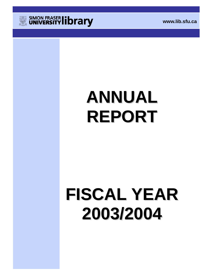

# **ANNUAL REPORT**

# **FISCAL YEAR 2003/2004**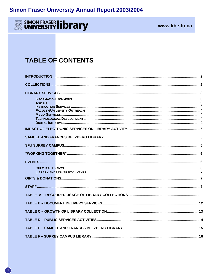## SIMON FRASER library

## www.lib.sfu.ca

## **TABLE OF CONTENTS**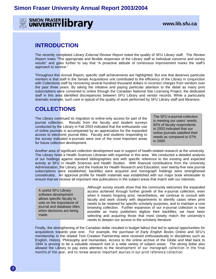**SIMON FRASER IDTATY** WWW.lib.sfu.ca

## **INTRODUCTION**

The recently completed *Library External Review Report* noted the quality of SFU Library staff. The *Review Repor*t notes "The appropriate and flexible responses of the Library staff to individual concerns and survey results" and goes further to say that "A proactive attitude of continuous improvement marks the staff's approach to service."

Throughout this Annual Report, specific staff achievements are highlighted. But one that deserves particular mention is that staff in the Serials Acquisitions unit contributed to the efficiency of the Library in conjunction with Collections staff by recovering several hundred thousand dollars in incorrect charges from vendors over the past three years. By taking the initiative and paying particular attention to the detail as many print subscriptions were converted to online through the Canadian National Site Licensing Project, the dedicated staff in this area identified discrepancies between SFU Library and vendor records. While a particularly dramatic example, such care is typical of the quality of work performed by SFU Library staff and librarians.

## **COLLECTIONS**

The Library continued its migration to online-only access for part of the journal collection. Results from the faculty and student surveys conducted by the Library in Fall 2003 indicated that the enthusiastic use of online journals is accompanied by an appreciation for the expanded access to electronic journal titles. Faculty and students responding to the survey indicated e-journals were one of the most important areas for future collection development.

The SFU e-journal collection is meeting our users' needs; 82% of faculty respondents in 2003 indicated that our online journals satisfied their needs as compared to 57% in 2000.

Another area of significant collection development was in support of health-related research at the university. The Library hired a Health Sciences Librarian with expertise in this area. We conducted a detailed analysis of our holdings against standard bibliographies and with specific reference to the existing and expected activity at SFU in Health Sciences and Health Studies. With financial contributions from the University Administration, the Library, and the Institute for Health Research and Education, over twenty-five new journal subscriptions were established, backfiles were acquired and monograph holdings were strengthened considerably. An approval profile for Health materials was established with our major book wholesaler to ensure that we receive all important new publications in the subject areas that match with our interests.

A useful SFU Library software development allows specific faculty to vote on the importance of journal and database titles when decisions are being made.

Although survey results show that the community welcomes the expanded access achieved through further growth of the e-journal collection, even when it means forgoing print, nevertheless, we continue to consult with faculty and work closely with departments to identify cases when print needs to be retained for specific scholarly purposes, and to maintain a core browsing collection. Further expansion of our e-journal collection is now possible as many publishers digitize their backfiles; we have been selecting and acquiring those that most closely match the university's needs to deepen our access to the scholarly literature.

Finally, the strengthening of the Canadian dollar resulted in budget fallout that led to special opportunities for acquisitions towards year end. For example, the purchase of *Early English Books Online* and SFU's membership in the related Text Creation Partnership were received enthusiastically in disciplines such as English, History, Philosophy and Humanities. Access to the online archive of the *Globe and Mail* back to 1844 is proving to be a valuable research tool in a wide variety of subject areas. The strong dollar also allowed the Library to pay extra attention to the development of our monograph collection in the final months of the year, and to renew several important sources in our print reference collection.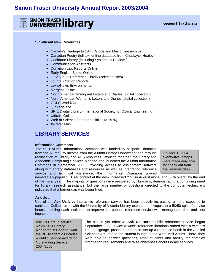

#### **Significant New Resources:**

- Canada's Heritage to 1844 (Globe and Mail online archive)
- Canadian Poetry (full text online database from Chadwyck Healey)
- Cochrane Library (including Systematic Reviews)
- Communication Abstracts
- Dominion Law Reports Online
- Early English Books Online
- Gale Virtual Reference Library (selected titles)
- Journal Citation Reports
- Lexis/Nexis Environmental
- Mergent Online
- North American Immigrant Letters and Diaries (digital collection)
- North American Women's Letters and Diaries (digital collection)
- OCLC WorldCat
- QP Legaleze
- SPIE Digital Library (International Society for Optical Engineering)
- Ulrich's Online
- Web of Science (deeper backfiles to 1976)
- X-Refer Plus

## **LIBRARY SERVICES**

#### **Information Commons**

The SFU Alumni Information Commons was funded by a special donation from the Alumni, by income from the Alumni Library Endowment and through reallocation of Library and ACS resources. Working together, the Library and Academic Computing Services planned and launched the Alumni Information Commons in September 2003. Providing access to assignment software along with library databases and resources as well as integrating reference service and technical assistance, the Information Commons proved

On April 1, 2004, twenty-five laptops were made available for check out from the Reserve desk.

immediately popular. User contact at the desk increased 27% in August alone, and 33% overall by the end of the fiscal year. The majority of questions were answered by librarians, demonstrating a continuing need for library research assistance, but the large number of questions directed to the computer technicians indicated that a former gap was being filled.

#### **Ask Us …**

Use of the **Ask Us Live** interactive reference service has been steadily increasing, a trend expected to continue. Collaboration with the University of Victoria Library expanded in August to a 50/50 split of service hours, enabling each institution to improve the popular reference service with manageable time and cost impacts.

Ask Us Here, a service which SFU Library pioneered in Canada, won the BC Academic Libraries – Public Service award for Outstanding Service 2004/2005.

The simple yet effective **Ask Us Here** mobile reference service began September 2003. Twice a week, reference librarians armed with a wireless laptop, signage, pushcart and chairs set up a reference booth in the Applied Sciences Atrium and the student lounge in the West Mall Annex. There, they were able to answer questions, refer students and faculty for complex information requirements and raise awareness about Library services.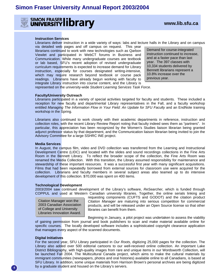

#### **Instruction Services**

Librarians deliver instruction in a wide variety of ways: labs and lecture halls in the Library and on campus

via detailed web pages and off campus on request. This year librarians continued to work with new technologies such as Qarbon Viewlet and participated in WebCT forums in Business and Communication. While many undergraduate courses are textbook or lab based, SFU's recent adoption of revised undergraduate curriculum requirements is expected to increase demand for Library instruction, especially for courses designated writing-intensive, which may require research beyond textbook or course pack readings. Librarians have already begun working with faculty to integrate Library instruction into course content, and the Library is

Demand for course-integrated instruction continued to increase, and at a faster pace than last year. The 397 classes with 10,334 students delivered by Bennett librarians represent a 10.8% increase over the previous year.

represented on the university-wide *Student Learning Services Task Force*.

#### **Faculty/University Outreach**

Librarians participated in a variety of special activities targeted for faculty and students. These included a reception for new faculty and departmental Library representatives in the Fall, and a faculty workshop entitled *Managing The Information Flow in Your Field: An Update for SFU Faculty* and an EndNote training workshop in the Spring.

Librarians also continued to work closely with their academic departments in reference, instruction and collection roles, with the recent Library Review Report noting that faculty indeed sees them as "partners". In particular, this appreciation has been recognized by the Women's Studies liaison librarian being granted adjunct professor status by that department, and the Communication liaison librarian being invited to join the Advisory Committee for a large SSHRC INE project.

#### **Media Services**

In August, the campus film, video and DVD collection was transferred from the Learning and Instructional Development Centre (LIDC) and located with the slides and sound recordings collections in the Fine Arts Room in the Bennett Library. To reflect the broader scope of the collection, the Fine Arts Room was renamed the Media Collection. With this transition, the Library assumed responsibility for maintenance and stewardship of these important resources. It was a successful first year with many significant acquisitions. Films that had been repeatedly borrowed from external sources for classroom use were acquired for the collection. Librarians and faculty members in several subject areas also teamed up to do intensive development of this collection. \$70,000 was spent on 400 items.

#### **Technological Development**

2003/2004 saw continued development of the Library's software, *ReSearcher,* which is funded through COPPUL and used at Western Canadian university libraries. Together, the online serials linking and

Citation Manager won the 2003 Canadian Association of College and University Libraries Innovation Award.

requesting components (CUFTS and GODOT) and the citation product *Citation Manager* are maturing into serious competition for commercial products, and will be released under an Open Source license so that other libraries can benefit from them.

Beginning in January, a pilot project was undertaken to assess the viability

of gaining permission from journal and book publishers to scan and make material available online for specific courses. The locally developed software includes a sophisticated copyright clearance application that manages every aspect of the scanned documents.

#### **Digital Initiatives**

For the second year, SFU Library participated in *Our Roots*, digitizing 25,000 pages for the collection. The Library also added over 500 editorial cartoons to our well-received online collection. An important Lake District Bibliography, with high-quality images from rare and unique items in our Wordsworth Collection, will be launched Fall 2004. The Multicultural Canada project, which aims to make the cultural materials by immigrant communities (newspapers, photos and oral histories) available online to all Canadians, is based at SFU Library. In addition, some unique materials from Harrison Brown's personal archives are being digitized by a graduate student and housed on the Library's servers.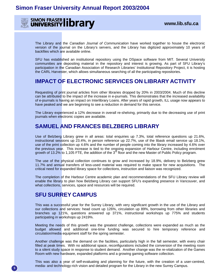

The Library and the *Canadian Journal of Communication* have worked together to house the electronic version of the journal on the Library's servers, and the Library has digitized approximately 10 years of backfiles which are available online.

SFU has established an institutional repository using the DSpace software from MIT. Several University communities are depositing material in the repository and interest is growing. As part of SFU Library's participation in the Canadian Association of Research Libraries' Institutional Repository Project, it is hosting the CARL Harvester, which allows simultaneous searching of all the participating repositories.

## **IMPACT OF ELECTRONIC SERVICES ON LIBRARY ACTIVITY**

Requesting of print journal articles from other libraries dropped by 20% in 2003/2004. Much of this decline can be attributed to the impact of the increase in e-journals. This demonstrates that the increased availability of e-journals is having an impact on Interlibrary Loans. After years of rapid growth, ILL usage now appears to have peaked and we are beginning to see a reduction in demand for this service.

The Library experienced a 12% decrease in overall re-shelving, primarily due to the decreasing use of print journals when electronic copies are available.

## **SAMUEL AND FRANCES BELZBERG LIBRARY**

Use of Belzberg Library grew in all areas: total enquiries up 7.3%, total reference questions up 21.6%, instructional sessions up 23.4%, in person reference up 22.7%, use of the libask email service up 18.1%, use of the print collection up 4.6% and the number of people coming into the library increased by 4.6% over the previous year. This increase is tied to the ongoing expansion of Harbour Centre, including enrolment growth of 13.2% to 1,105 FTE, the addition of the  $3<sup>rd</sup>$  floor and the new Master of Public Policy program.

The use of the physical collection continues to grow and increased by 18.9%, delivery to Belzberg grew 11.7% and annual transfers of less-used material was required to make space for new acquisitions. The critical need for expanded library space for collections, instruction and liaison was recognized.

The completion of the Harbour Centre academic plan and recommendations of the SFU Library review will enable the library to plan how Belzberg Library can support SFU's expanding presence in Vancouver, and what collections, services, space and resources will be required.

## **SFU SURREY CAMPUS**

This was a successful year for the Surrey Library, with very significant growth in the use of the Library and our collections and services: head count up 126%, circulation up 89%, borrowing from other libraries and branches up 121%, questions answered up 371%, instructional workshops up 775% and students participating in workshops up 2419%.

Meeting the needs of this growth was the greatest challenge, collections were expanded as much as the budget allowed and additional one-time funding was secured to hire temporary reference and circulation/media equipment staff for the spring semester.

Another challenge was the demand on the facilities, particularly high in the fall semester, with every chair filled at peak times. With no additional space, reconfigurations included the conversion of the meeting room to a silent study space in response to student demand. Another change was the re-vitalization of the Games Room with new hardware, expanded platforms and a growing gaming software collection.

This was also a year of self-evaluating and planning for the future, with the creation of a user-centred, media- and technology-rich vision and detailed program for the Library in the new Surrey Campus.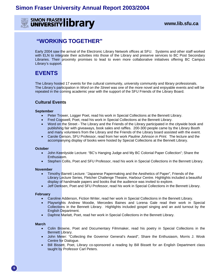

## **"WORKING TOGETHER"**

Early 2004 saw the arrival of the Electronic Library Network offices at SFU. Systems and other staff worked with ELN to integrate their activities into those of the Library and preserve services to BC Post Secondary Libraries. Their proximity promises to lead to even more collaborative initiatives offering BC Campus Library's support.

## **EVENTS**

The Library hosted 17 events for the cultural community, university community and library professionals. The Library's participation in *Word on the Street* was one of the more novel and enjoyable events and will be repeated in the coming academic year with the support of the SFU Friends of the Library Board.

## **Cultural Events**

## **September**

- Peter Trower, Logger Poet, read his work in Special Collections at the Bennett Library.
- Fred Cogswell, Poet, read his work in Special Collections at the Bennett Library.
- Word on the Street The Library and the Friends of the Library participated in the citywide book and publishing fair with giveaways, book sales and raffles. 200-300 people came by the Library Booth and many volunteers from the Library and the Friends of the Library board assisted with the event.
- Carole Gerson, SFU Professor, read from her work *Pauline Johnson in Print.* The lecture and the accompanying display of books were hosted by Special Collections at the Bennett Library.

## **October**

- John Keenlyside Lecture: "BC's Hanging Judge and My BC Colonial Paper Collection"; Share the Enthusiasm.
- Stephen Collis, Poet and SFU Professor, read his work in Special Collections in the Bennett Library.

## **November**

- Timothy Barrett Lecture: "Japanese Papermaking and the Aesthetics of Paper", Friends of the Library Lecture Series, Fletcher Challenge Theatre, Harbour Centre. Highlights included a beautiful display of handmade papers and books that the audience was invited to explore.
- Jeff Derksen, Poet and SFU Professor, read his work in Special Collections in the Bennett Library.

## **February**

- Caroline Adderson, Fiction Writer, read her work in Special Collections in the Bennett Library.
- Playwrights Andrew Moodie, Mercedes Baines and Lorena Gale read their work in Special Collections in the Bennett Library. Highlights included gospel singing and an avid turnout by the English Department.
- Daphne Marlatt, Poet, read her work in Special Collections in the Bennett Library.

## **March**

- Colin Browne, Poet and Documentary Filmmaker, read his poetry in Special Collections in the Bennett Library.
- John Meier: "Collecting the Governor General's Award", Share the Enthusiasm, Morris J. Wosk Centre for Dialogue.
- Bill Bissett, Poet, Library co-sponsored a reading by Bill Bissett for an English Department class taught by Professor Carl Peters.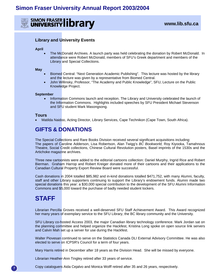

## **Library and University Events**

#### **April**

• The McDonald Archives. A launch party was held celebrating the donation by Robert McDonald. In attendance were Robert McDonald, members of SFU's Greek department and members of the Library and Special Collections.

#### **May**

- Biomed Central: "Next Generation Academic Publishing". This lecture was hosted by the library and the lecture was given by a representative from Biomed Central.
- John Willinsky, Professor, "The Academy and Public Knowledge", SFU, Lecture on the Public Knowledge Project.

#### **September**

• Information Commons launch and reception. The Library and University celebrated the launch of the Information Commons. Highlights included speeches by SFU President Michael Stevenson and SFU student Mark Masongsong.

## **Tours**

• Matilda Naidoo, Acting Director, Library Services, Cape Technikon (Cape Town, South Africa).

## **GIFTS & DONATIONS**

The Special Collections and Rare Books Division received several significant acquisitions including: The papers of Caroline Adderson, Lisa Robertson, Alan Twigg's *BC Bookworld,* Roy Kiyooka, Tamahnous Theatre, Social Credit collections, Chinese Cultural Revolution posters, Basel imprints of the 1530s and the Artichoke magazine archives.

Three new cartoonists were added to the editorial cartoons collection: Daniel Murphy, Ingrid Rice and Robert Bierman. Graham Harrop and Robert Kreiger donated more of their cartoons and their applications to the Canadian Cultural Property Export Review Board were successful.

Cash donations in 2004 totalled \$85,982 and in-kind donations totalled \$471,752, with many Alumni, faculty, staff and other Library supporters continuing to support the Library's endowment funds. Alumni made two special donations this year: a \$30,000 special contribution to the development of the SFU Alumni Information Commons and \$5,000 toward the purchase of badly needed student lockers.

## **STAFF**

 **7** 

Librarian Percilla Groves received a well-deserved SFU Staff Achievement Award. This Award recognized her many years of exemplary service to the SFU Library, the BC library community and the University.

SFU Library co-hosted Access 2003, the major Canadian library technology conference. Mark Jordan sat on the planning committee and helped organize the Hackfest, Kristina Long spoke on open source link servers and Calvin Mah set up a server for use during the Hackfest.

Walter Piovesan continued to serve on the Statistics Canada DLI External Advisory Committee. He was also elected to serve on ICPSR's Council for a term of four years.

Mary Harris retired in December after 18 years as the Division Head. She will be missed by everyone.

Librarian Heather-Ann Tingley retired after 33 years of service.

Copy cataloguers Aida Cejalvo and Monica Wolff retired after 35 and 26 years, respectively.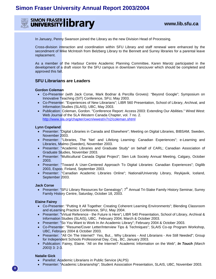

In January, Penny Swanson joined the Library as the new Division Head of Processing.

Cross-division interaction and coordination within SFU Library and staff renewal were enhanced by the secondment of Mike McIntosh from Belzberg Library to the Bennett and Surrey libraries for a parental leave replacement.

As a member of the Harbour Centre Academic Planning Committee, Karen Marotz participated in the development of a draft vision for the SFU campus in downtown Vancouver which should be completed and approved this fall.

## **SFU Librarians are Leaders**

#### **Gordon Coleman**

- Co-Presenter (with Jack Corse, Mark Bodnar & Percilla Groves): "Beyond Google"; Symposium on Innovative Teaching (SIT) Conference, SFU, May 2003.
- Co-Presenter: "Experiences of New Librarians"; LIBR 560 Presentation, School of Library, Archival, and Information Studies (SLAIS), UBC, May 2003.
- Publication: Coleman, Gordon. "Conference Report: Access 2003: Extending Our Abilities." Wired West: Web Journal of the SLA Western Canada Chapter, vol. 7 no. 2. http://www.sla.org/chapter/cwcn/wwest/v7n2/coleman.shtml

#### **Lynn Copeland**

- Presenter: "Digital Libraries in Canada and Elsewhere"; Meeting on Digital Libraries, BIBSAM, Sweden, November 2003.
- Presenter: "Libraries, The 'Net' and Lifelong Learning: Canadian Experiences"; e-Learning and Libraries, Malmo (Sweden), November 2003.
- Presenter: "Academic Libraries and Graduate Study" on behalf of CARL; Canadian Association of Graduate Studies, November 2003.
- Presenter: "Multicultural Canada Digital Project"; Sien Lok Society Annual Meeting, Calgary, October 2003.
- Presenter: "Toward A User-Centered Approach To Digital Libraries: Canadian Experiences"; Digilib 2003, Espoo, Finland, September 2003.
- Presenter: "Canadian Academic Libraries Online"; National/University Library, Reykjavik, Iceland, September 2003.

#### **Jack Corse**

• Presenter: "SFU Library Resources for Genealogy"; 7<sup>th</sup> Annual Tri-Stake Family History Seminar, Surrey Family History Centre, Saturday, October 18, 2003.

#### **Elaine Fairey**

- Co-Presenter: "Putting It All Together: Creating Coherent Learning Environments"; Blending Classroom and eLearning Practice Conference, SFU, May 2004.
- Presenter: "Virtual Reference the Future is Here"**;** LIBR 540 Presentation, School of Library, Archival & Information Studies (SLAIS), UBC, February 2004, March & October 2003.
- Presenter: "So You Want to Work In An Academic Library"; February 2004 & October 2003.
- Co-Presenter: "Resume/Cover Letter/Interview Tips & Techniques"; SLAIS Co-op Program Workshop, UBC, February 2004 & October 2003.
- Presenter: "All On The Internet? Yes, But... Why Libraries And Librarians Are Still Needed"; Group for Independent Schools Professional Day, Coq., BC, January 2003.
- Publication: Fairey, Elaine. "All on the Internet? Academic Information on the Web", *In Touch (March 2003)* 3: 2-3.

#### **Natalie Gick**

- Panelist: Academic Librarians in Public Service (ALPS)
- Presenter: "Academic Librarianship"; Student Association Presentation, SLAIS, UBC, November 2003.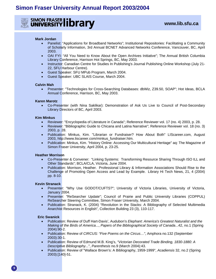**SIMON FRASER IDTATY** WWW.lib.sfu.ca

## **Mark Jordan**

- Panelist: "Applications for Broadband Networks"; Institutional Repositories: Facilitating a Community of Scholarly Information, 3rd Annual BCNET Advanced Networks Conference, Vancouver, BC, April 2003.
- OAI FYI: "All You Need to Know About the Open Archives Initiative"; The Annual British Columbia Library Conference, Harrison Hot Springs, BC, May 2003.
- Instructor: Canadian Centre for Studies In Publishing's Journal Publishing Online Workshop (July 21- 22, SFU Harbour Centre).
- Guest Speaker: SFU MPub Program, March 2004.
- Guest Speaker: UBC SLAIS Course, March 2004.

## **Calvin Mah**

• Presenter: "Technologies for Cross-Searching Databases: dbWiz, Z39.50, SOAP"; Hot Ideas, BCLA Annual Conference, Harrison, BC, May 2003.

## **Karen Marotz**

• Co-Presenter (with Nina Saklikar): Demonstration of Ask Us Live to Council of Post-Secondary Library Directors of BC, April 2003.

#### **Kim Minkus**

- Reviewer: "Encyclopedia of Literature in Canada"; Reference Reviewer vol. 17 (no. 4) 2003, p. 28.
- Reviewer: "Bibliographic Guide to Chicana and Latina Narrative"; Reference Reviewer vol. 18 (no. 3) 2003, p. 28.
- Publication: Minkus, Kim. "Librarian or Fundraiser? How About Both" LIScareer.com, August 2003, http://www.liscareer.com/minkus\_fundraiser.htm.
- Publication: Minkus, Kim. "History Online: Accessing Our Multicultural Heritage" aq: The Magazine of Simon Fraser University, April 2004, p. 23-25.

## **Heather Morrison**

- Co-Presenter & Convener: "Linking Systems: Transforming Resource Sharing Through ISO ILL and Other Standards"; BCLA/CLA, Victoria, June 2004.
- Publication: Morrison, Heather. Professional Library & Information Associations Should Rise to the Challenge of Promoting Open Access and Lead by Example. Library Hi Tech News, 21, 4 (2004) pp. 8-10.

## **Kevin Stranack**

- Presenter: "Why Use GODOT/CUFTS?"; University of Victoria Libraries, University of Victoria, January 2004.
- Presenter: "ReSearcher Update"; Council of Prairie and Public University Libraries (COPPUL) ReSearcher Steering Committee, Simon Fraser University, March 2004.
- Publication: Stranack, K. (2004) "Revolution in the Stacks: A Bibliography of Selected Multimedia Anarchist Resources in English", Collection Building 23 (3), 110-117.

#### **Eric Swanick**

- Publication: Review of Duff Hart-Davis', Audubon's *Elephant*: *America's Greatest Naturalist and the Making of the Birds of America*..., *Papers of the Bibliographical Society of Canada*...42, no.1 (Spring 2004):90-2.
- Publication: Review of *CIRCUS: "Five Poems on the Circus…"*, Amphora no.132 (September 2003):30-1.
- Publication: Review of Edmund M.B. King's, *"Victorian Decorated Trade Binding, 1830-1880: A Descriptive Bibliography...*", *Parenthesis* no.9 (March 2004):43.
- Publication: Review of "Wallace Brown's: A Bibliography, 1959-1999", *Acadiensis* 32, no.2 (Spring 2003):[140]-51.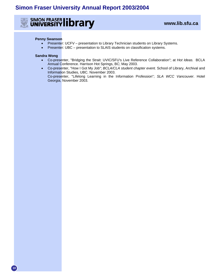

## **Penny Swanson**

- Presenter: UCFV presentation to Library Technician students on Library Systems.
- Presenter: UBC presentation to SLAIS students on classification systems.

## **Sandra Wong**

- Co-presenter, "Bridging the Strait: UVIC/SFU's Live Reference Collaboration"; at *Hot Ideas.* BCLA Annual Conference. Harrison Hot Springs, BC; May 2003.
- Co-presenter, "How I Got My Job"; *BCLA/CLA student chapter event.* School of Library, Archival and Information Studies, UBC. November 2003. Co-presenter, "Lifelong Learning in the Information Profession"; *SLA WCC Vancouver*. Hotel Georgia, November 2003.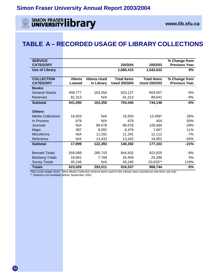

**EXECUTION FRASER CONDUCTS ON THE SIMON FRASER CONDUCTS** 

## **TABLE A – RECORDED USAGE OF LIBRARY COLLECTIONS**

| <b>SERVICE</b>           |         |             |                     |                     | % Change from        |
|--------------------------|---------|-------------|---------------------|---------------------|----------------------|
| <b>CATEGORY</b>          |         |             | 2003/04             | 2002/03             | <b>Previous Year</b> |
| <b>Use of Library</b>    |         |             | 1,685,415           | 1,542,632           | 9%                   |
|                          |         |             |                     |                     |                      |
| <b>COLLECTION</b>        | #Items  | #Items Used | <b>Total Items</b>  | <b>Total Items</b>  | % Change from        |
| <b>CATEGORY</b>          | Loaned  | in Library  | <b>Used 2003/04</b> | <b>Used 2002/03</b> | <b>Previous Year</b> |
| <b>Books:</b>            |         |             |                     |                     |                      |
| <b>General Stacks</b>    | 459,777 | 163,350     | 623,127             | 654,507             | -5%                  |
| Reserves                 | 81,313  | N/A         | 81,313              | 89,641              | $-9%$                |
| <b>Subtotal</b>          | 541,090 | 163,350     | 704,440             | 744,148             | $-5%$                |
|                          |         |             |                     |                     |                      |
| Others:                  |         |             |                     |                     |                      |
| <b>Media Collections</b> | 16,933  | N/A         | 16,933              | 13,458*             | 26%                  |
| In Process               | 679     | N/A         | 679                 | 454                 | 50%                  |
| Journals                 | N/A     | 89,578      | 89,578              | 126,560             | $-29%$               |
| <b>Maps</b>              | 387     | 8,092       | 8,479               | 7,667               | 11%                  |
| <b>Microforms</b>        | N/A     | 11,291      | 11,291              | 12,112              | $-7%$                |
| Reference                | N/A     | 13,432      | 13,432              | 16,852              | $-20%$               |
| <b>Subtotal</b>          | 17,999  | 122,393     | 140,392             | 177,103             | $-21%$               |
|                          |         |             |                     |                     |                      |
| <b>Bennett Totals</b>    | 559,089 | 285,743     | 844,832             | 922,825             | -8%                  |
| <b>Belzberg Totals</b>   | 18,691  | 7,768       | 26,459              | 25,286              | 5%                   |
| <b>Surrey Totals</b>     | 45,246  | N/A         | 45,246              | 20,633**            | 119%                 |
| <b>Totals</b>            | 623,026 | 293,511     | 916,537             | 968,744             | $-5%$                |

\*Not a true usage count. Most Media Collection reserve items used in the Library were counted as one-time use only.

\*\* Statistics not available before September 2002.

**11**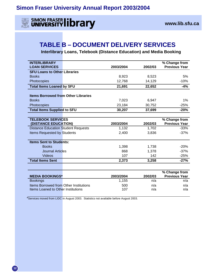

**EXECUTE SIMON FRASER CONTRACTLY** THE SIMON FRASER CONTRACTLY

## **TABLE B – DOCUMENT DELIVERY SERVICES**

 **Interlibrary Loans, Telebook (Distance Education) and Media Booking** 

| <b>INTERLIBRARY</b><br><b>LOAN SERVICES</b>      | 2003/2004 | 2002/03 | % Change from<br><b>Previous Year</b> |
|--------------------------------------------------|-----------|---------|---------------------------------------|
| <b>SFU Loans to Other Libraries</b>              |           |         |                                       |
| <b>Books</b>                                     | 8,923     | 8,523   | 5%                                    |
| Photocopies                                      | 12,768    | 14,129  | $-10%$                                |
| <b>Total Items Loaned by SFU</b>                 | 21,691    | 22,652  | $-4%$                                 |
| <b>Items Borrowed from Other Libraries</b>       |           |         |                                       |
| <b>Books</b>                                     | 7,023     | 6,947   | 1%                                    |
| Photocopies                                      | 23,184    | 30,752  | $-25%$                                |
| <b>Total Items Supplied to SFU</b>               | 30,207    | 37,699  | $-20%$                                |
|                                                  |           |         |                                       |
| <b>TELEBOOK SERVICES</b><br>(DISTANCE EDUCATION) | 2003/2004 | 2002/03 | % Change from<br><b>Previous Year</b> |
| <b>Distance Education Student Requests</b>       | 1,132     | 1,702   | $-33%$                                |
| Items Requested by Students                      | 2,400     | 3,836   | $-37%$                                |
| <b>Items Sent to Students:</b>                   |           |         |                                       |
| <b>Books</b>                                     | 1,398     | 1,738   | $-20%$                                |
| <b>Journal Articles</b>                          | 868       | 1,378   | $-37%$                                |
| Videos                                           | 107       | 142     | $-25%$                                |
| <b>Total Items Sent</b>                          | 2,373     | 3,258   | $-27%$                                |
|                                                  |           |         |                                       |
| <b>MEDIA BOOKINGS*</b>                           | 2003/2004 | 2002/03 | % Change from<br><b>Previous Year</b> |
| <b>Bookings</b>                                  | 1,155     | n/a     | n/a                                   |
| Items Borrowed from Other Institutions           | 500       | n/a     | n/a                                   |
| Items Loaned to Other Institutions               | 107       | n/a     | n/a                                   |

\*Services moved from LIDC in August 2003. Statistics not available before August 2003.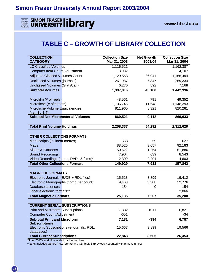

## **SIMON FRASER IIDTATY** WWW.lib.sfu.ca

## **TABLE C – GROWTH OF LIBRARY COLLECTION**

| <b>COLLECTION</b><br><b>CATEGORY</b>      |                                            | <b>Collection Size</b><br>Mar 31, 2003 | <b>Net Growth</b><br>2003/04 | <b>Collection Size</b><br>Mar 31, 2004 |
|-------------------------------------------|--------------------------------------------|----------------------------------------|------------------------------|----------------------------------------|
| <b>LC Classified Volumes</b>              |                                            | 1,116,521                              |                              | 1,162,387                              |
| <b>Computer Item Count Adjustment</b>     |                                            | 13,032                                 |                              | 4,107                                  |
| <b>Adjusted Classed Volumes Count</b>     |                                            | 1,129,553                              | 36,941                       | 1,166,494                              |
| Unclassed Volumes (journals)              |                                            | 261,987                                | 7,347                        | 269,334                                |
| <b>Unclassed Volumes (StatsCan)</b>       |                                            | 6,276                                  | 892                          | 7,168                                  |
| <b>Subtotal Volumes</b>                   |                                            | 1,397,816                              | 45,180                       | 1,442,996                              |
|                                           |                                            |                                        |                              |                                        |
| Microfilm (# of reels)                    |                                            | 48,561                                 | 791                          | 49,352                                 |
| Microfiche (# of sheets)                  |                                            | 1,136,745                              | 11,648                       | 1,148,393                              |
| Microfiche Volume Equivalencies           |                                            | 811,960                                | 8,321                        | 820,281                                |
| (i.e., 1 / 1.4)                           |                                            |                                        |                              |                                        |
| <b>Subtotal Net Micromaterial Volumes</b> |                                            | 860,521                                | 9,112                        | 869,633                                |
| <b>Total Print Volume Holdings</b>        |                                            | 2,258,337                              | 54,292                       | 2,312,629                              |
|                                           |                                            |                                        |                              |                                        |
| <b>OTHER COLLECTIONS FORMATS</b>          |                                            |                                        |                              |                                        |
| Manuscripts (in linear metres)            |                                            | 568                                    | 59                           | 627                                    |
| <b>Maps</b>                               |                                            | 88,526                                 | 3,657                        | 92,183                                 |
| <b>Slides &amp; Cartoons</b>              |                                            | 50,622                                 | 1,264                        | 51,886                                 |
| <b>Sound Recordings</b>                   |                                            | 7,904                                  | 639                          | 8,543                                  |
|                                           | Video Recordings (tapes, DVDs & films)*    | 2,309                                  | 2,294                        | 4,603                                  |
| <b>Total Other Collections Formats</b>    |                                            | 149,929                                | 7,913                        | 157,842                                |
|                                           |                                            |                                        |                              |                                        |
| <b>MAGNETIC FORMATS</b>                   |                                            |                                        |                              |                                        |
| Electronic Journals (EJDB + RDL files)    |                                            | 15,513                                 | 3,899                        | 19,412                                 |
| Electronic Monographs (computer count)    |                                            | 9,468                                  | 3,308                        | 12,776                                 |
| <b>Database Licenses</b>                  |                                            | 154                                    | 0                            | 154                                    |
| Other electronic formats**                |                                            |                                        |                              | 2,866                                  |
| <b>Total Magnetic Formats</b>             |                                            | 25,135                                 | 7,207                        | 35,208                                 |
| <b>CURRENT SERIAL SUBSCRIPTIONS</b>       |                                            |                                        |                              |                                        |
| <b>Print and Microform Subscriptions</b>  |                                            | 7,832                                  | $-1011$                      | 6,821                                  |
| <b>Computer Count Adjustment</b>          |                                            | $-651$                                 |                              | $-34$                                  |
| <b>Subtotal Print and Microform</b>       |                                            | 7,181                                  | $-394$                       | 6,787                                  |
| <b>Subscriptions</b>                      |                                            |                                        |                              |                                        |
|                                           | Electronic Subscriptions (e-journals, RDL, | 15,667                                 | 3,899                        | 19,566                                 |
| databases)                                |                                            |                                        |                              |                                        |
| <b>Total Current Subscriptions</b>        |                                            | 22,848                                 | 3,505                        | 26,353                                 |

\*Note: DVD's and films added for the first time

\*\*Note: includes games (new format) and CD-ROMS (previously counted with print volumes)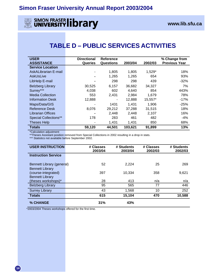## **EXAMPLE SIMON FRASER CONDUCTS AND THE SIMON FRASER CONDUCTS** WAS ALSO WARD WWW.IIb.sfu.ca

## **TABLE D – PUBLIC SERVICES ACTIVITIES**

| <b>USER</b>                  | <b>Directional</b> | Reference |         |         | % Change from        |
|------------------------------|--------------------|-----------|---------|---------|----------------------|
| <b>ASSISTANCE</b>            | <b>Queries</b>     | Questions | 2003/04 | 2002/03 | <b>Previous Year</b> |
| <b>Service Location</b>      |                    |           |         |         |                      |
| <b>AskALibrarian E-mail</b>  |                    | 1,805     | 1,805   | 1,529*  | 18%                  |
| <b>AskUsLive</b>             |                    | 1,265     | 1,265   | 654     | 93%                  |
| LibHelp E-mail               |                    | 298       | 298     | 439     | $-32%$               |
| <b>Belzberg Library</b>      | 30,525             | 6,157     | 36,682  | 34,327  | 7%                   |
| Surrey***                    | 4,038              | 602       | 4,640   | 854     | 443%                 |
| <b>Media Collection</b>      | 553                | 2,431     | 2,984   | 1,679   | 78%                  |
| <b>Information Desk</b>      | 12,888             | ۰         | 12,888  | 15,557* | $-17%$               |
| Maps/Data/GIS                |                    | 1431      | 1,431   | 1,906   | $-25%$               |
| <b>Reference Desk</b>        | 8,076              | 29,212    | 37,288  | 31,515  | 18%                  |
| <b>Librarian Offices</b>     |                    | 2,448     | 2,448   | 2,107   | 16%                  |
| <b>Special Collections**</b> | 178                | 283       | 461     | 482     | $-4%$                |
| Theses Help                  |                    | 1,431     | 1,431   | 850     | 68%                  |
| <b>Totals</b>                | 59,120             | 44,501    | 103,621 | 91,899  | 13%                  |

\*Calculation adjustment

\*\*Theses Assistant position removed from Special Collections in 2002 resulting in a drop in stats.

\*\*\* Statistics not available before September 2002.

| <b>USER INSTRUCTION</b>                             | # Classes<br>2003/04 | # Students<br>2003/04 | # Classes<br>2002/03 | # Students<br>2002/03 |
|-----------------------------------------------------|----------------------|-----------------------|----------------------|-----------------------|
| <b>Instruction Service</b>                          |                      |                       |                      |                       |
| Bennett Library (general)<br><b>Bennett Library</b> | 52                   | 2,224                 | 25                   | 269                   |
| (course-integrated)<br><b>Bennett Library</b>       | 397                  | 10,334                | 358                  | 9,621                 |
| (theses workshops)*                                 | 28                   | 413                   | n/a                  | n/a                   |
| <b>Belzberg Library</b>                             | 95                   | 565                   | 77                   | 446                   |
| <b>Surrey Library</b>                               | 43                   | 1,568                 | 10                   | 252                   |
| <b>Totals</b>                                       | 615                  | 15,104                | 470                  | 10,588                |
| % CHANGE                                            | 31%                  | 43%                   |                      |                       |

\*2003/2004 Theses workshops offered for the first time.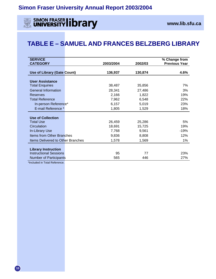

## **TABLE E – SAMUEL AND FRANCES BELZBERG LIBRARY**

| <b>SERVICE</b><br><b>CATEGORY</b>                                     | 2003/2004 | 2002/03 | % Change from<br><b>Previous Year</b> |
|-----------------------------------------------------------------------|-----------|---------|---------------------------------------|
|                                                                       |           |         |                                       |
| <b>Use of Library (Gate Count)</b>                                    | 136,937   | 130,874 | 4.6%                                  |
| <b>User Assistance</b>                                                |           |         |                                       |
| <b>Total Enquiries</b>                                                | 38,487    | 35,856  | 7%                                    |
| <b>General Information</b>                                            | 28,341    |         | 3%                                    |
|                                                                       |           | 27,486  |                                       |
| <b>Reserves</b>                                                       | 2,166     | 1,822   | 19%                                   |
| <b>Total Reference</b>                                                | 7,962     | 6,548   | 22%                                   |
| In-person Reference*                                                  | 6,157     | 5,019   | 23%                                   |
| E-mail Reference *                                                    | 1,805     | 1,529   | 18%                                   |
| <b>Use of Collection</b>                                              |           |         |                                       |
| <b>Total Use</b>                                                      | 26,459    | 25,286  | 5%                                    |
| Circulation                                                           | 18,691    | 15,725  | 19%                                   |
|                                                                       |           |         |                                       |
| In-Library Use                                                        | 7,768     | 9,561   | -19%                                  |
| <b>Items from Other Branches</b>                                      | 9,836     | 8,808   | 12%                                   |
| <b>Items Delivered to Other Branches</b>                              | 1,578     | 1,569   | $1\%$                                 |
| <b>Library Instruction</b>                                            |           |         |                                       |
| <b>Instructional Sessions</b>                                         | 95        | 77      | 23%                                   |
|                                                                       |           |         |                                       |
| <b>Number of Participants</b><br>the absoluted for Training Distances | 565       | 446     | 27%                                   |

\*Included in Total Reference.